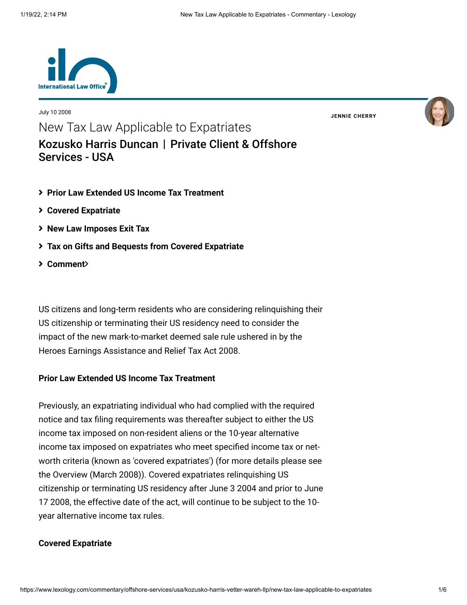

July 10 2008

**JENNIE [CHERRY](https://www.lexology.com/23364/author/Jennie_Cherry/)**



New Tax Law Applicable to Expatriates [Kozusko Harris Duncan](https://www.lexology.com/contributors/23364) | Private Client & Offshore Services - USA

- <span id="page-0-0"></span>**[Prior Law Extended US Income Tax Treatment](#page-0-0)**
- **[Covered Expatriate](#page-0-0)**
- **[New Law Imposes Exit Tax](#page-1-0)**
- **[Tax on Gifts and Bequests from Covered Expatriate](#page-2-0)**
- **[Comment](#page-2-0)**

US citizens and long-term residents who are considering relinquishing their US citizenship or terminating their US residency need to consider the impact of the new mark-to-market deemed sale rule ushered in by the Heroes Earnings Assistance and Relief Tax Act 2008.

# **Prior Law Extended US Income Tax Treatment**

Previously, an expatriating individual who had complied with the required notice and tax filing requirements was thereafter subject to either the US income tax imposed on non-resident aliens or the 10-year alternative income tax imposed on expatriates who meet specified income tax or networth criteria (known as 'covered expatriates') (for more details please see the [Overview \(March 2008\)\)](http://www.internationallawoffice.com/Newsletters/detail.aspx?g=559c31e6-a3f7-4cd8-9340-e15e6c077bb2). Covered expatriates relinquishing US citizenship or terminating US residency after June 3 2004 and prior to June 17 2008, the effective date of the act, will continue to be subject to the 10 year alternative income tax rules.

### **Covered Expatriate**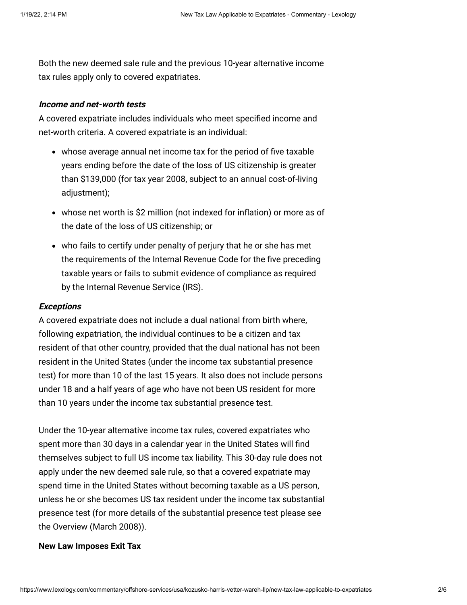Both the new deemed sale rule and the previous 10-year alternative income tax rules apply only to covered expatriates.

## **Income and net-worth tests**

A covered expatriate includes individuals who meet specified income and net-worth criteria. A covered expatriate is an individual:

- whose average annual net income tax for the period of five taxable years ending before the date of the loss of US citizenship is greater than \$139,000 (for tax year 2008, subject to an annual cost-of-living adjustment);
- whose net worth is \$2 million (not indexed for inflation) or more as of the date of the loss of US citizenship; or
- who fails to certify under penalty of perjury that he or she has met the requirements of the Internal Revenue Code for the five preceding taxable years or fails to submit evidence of compliance as required by the Internal Revenue Service (IRS).

#### **Exceptions**

A covered expatriate does not include a dual national from birth where, following expatriation, the individual continues to be a citizen and tax resident of that other country, provided that the dual national has not been resident in the United States (under the income tax substantial presence test) for more than 10 of the last 15 years. It also does not include persons under 18 and a half years of age who have not been US resident for more than 10 years under the income tax substantial presence test.

Under the 10-year alternative income tax rules, covered expatriates who spent more than 30 days in a calendar year in the United States will find themselves subject to full US income tax liability. This 30-day rule does not apply under the new deemed sale rule, so that a covered expatriate may spend time in the United States without becoming taxable as a US person, unless he or she becomes US tax resident under the income tax substantial presence test (for more details of the substantial presence test please see the [Overview \(March 2008\)\)](http://www.internationallawoffice.com/Newsletters/detail.aspx?g=559c31e6-a3f7-4cd8-9340-e15e6c077bb2).

#### <span id="page-1-0"></span>**New Law Imposes Exit Tax**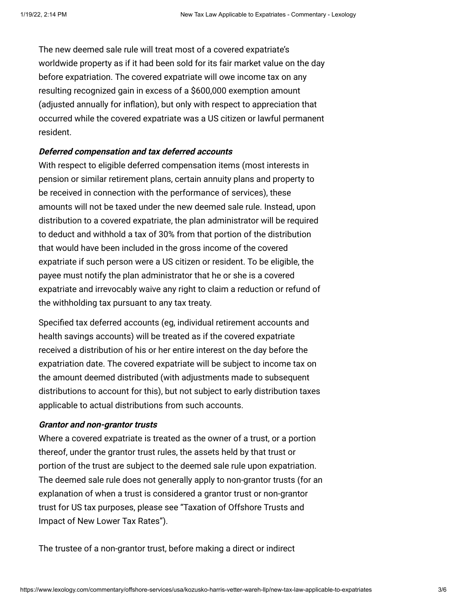The new deemed sale rule will treat most of a covered expatriate's worldwide property as if it had been sold for its fair market value on the day before expatriation. The covered expatriate will owe income tax on any resulting recognized gain in excess of a \$600,000 exemption amount (adjusted annually for inflation), but only with respect to appreciation that occurred while the covered expatriate was a US citizen or lawful permanent resident.

## **Deferred compensation and tax deferred accounts**

With respect to eligible deferred compensation items (most interests in pension or similar retirement plans, certain annuity plans and property to be received in connection with the performance of services), these amounts will not be taxed under the new deemed sale rule. Instead, upon distribution to a covered expatriate, the plan administrator will be required to deduct and withhold a tax of 30% from that portion of the distribution that would have been included in the gross income of the covered expatriate if such person were a US citizen or resident. To be eligible, the payee must notify the plan administrator that he or she is a covered expatriate and irrevocably waive any right to claim a reduction or refund of the withholding tax pursuant to any tax treaty.

Specified tax deferred accounts (eg, individual retirement accounts and health savings accounts) will be treated as if the covered expatriate received a distribution of his or her entire interest on the day before the expatriation date. The covered expatriate will be subject to income tax on the amount deemed distributed (with adjustments made to subsequent distributions to account for this), but not subject to early distribution taxes applicable to actual distributions from such accounts.

### <span id="page-2-0"></span>**Grantor and non-grantor trusts**

Where a covered expatriate is treated as the owner of a trust, or a portion thereof, under the grantor trust rules, the assets held by that trust or portion of the trust are subject to the deemed sale rule upon expatriation. The deemed sale rule does not generally apply to non-grantor trusts (for an explanation of when a trust is considered a grantor trust or non-grantor [trust for US tax purposes, please see "Taxation of Offshore Trusts and](http://www.internationallawoffice.com/Newsletters/detail.aspx?g=fa09696c-86d8-4011-bfb3-ba66bf73c584) Impact of New Lower Tax Rates").

The trustee of a non-grantor trust, before making a direct or indirect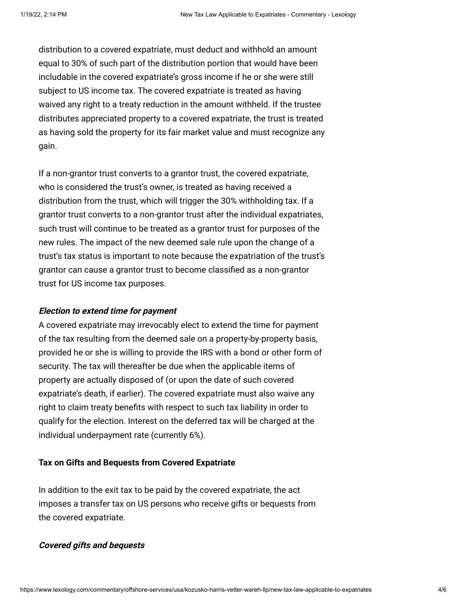distribution to a covered expatriate, must deduct and withhold an amount equal to 30% of such part of the distribution portion that would have been includable in the covered expatriate's gross income if he or she were still subject to US income tax. The covered expatriate is treated as having waived any right to a treaty reduction in the amount withheld. If the trustee distributes appreciated property to a covered expatriate, the trust is treated as having sold the property for its fair market value and must recognize any gain.

If a non-grantor trust converts to a grantor trust, the covered expatriate, who is considered the trust's owner, is treated as having received a distribution from the trust, which will trigger the 30% withholding tax. If a grantor trust converts to a non-grantor trust after the individual expatriates, such trust will continue to be treated as a grantor trust for purposes of the new rules. The impact of the new deemed sale rule upon the change of a trust's tax status is important to note because the expatriation of the trust's grantor can cause a grantor trust to become classified as a non-grantor trust for US income tax purposes.

### **Election to extend time for payment**

A covered expatriate may irrevocably elect to extend the time for payment of the tax resulting from the deemed sale on a property-by-property basis, provided he or she is willing to provide the IRS with a bond or other form of security. The tax will thereafter be due when the applicable items of property are actually disposed of (or upon the date of such covered expatriate's death, if earlier). The covered expatriate must also waive any right to claim treaty benefits with respect to such tax liability in order to qualify for the election. Interest on the deferred tax will be charged at the individual underpayment rate (currently 6%).

### **Tax on Gifts and Bequests from Covered Expatriate**

In addition to the exit tax to be paid by the covered expatriate, the act imposes a transfer tax on US persons who receive gifts or bequests from the covered expatriate.

### **Covered gifts and bequests**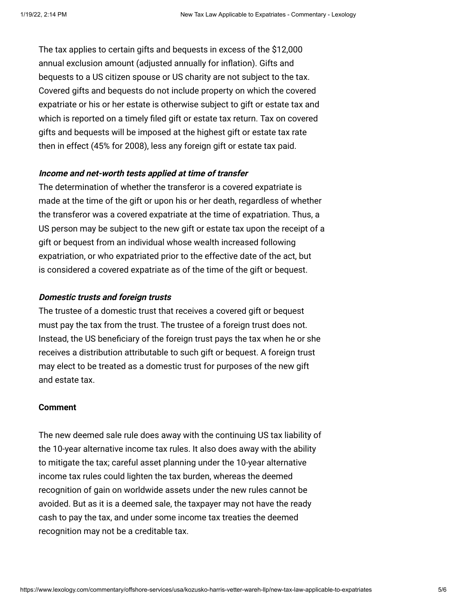The tax applies to certain gifts and bequests in excess of the \$12,000 annual exclusion amount (adjusted annually for inflation). Gifts and bequests to a US citizen spouse or US charity are not subject to the tax. Covered gifts and bequests do not include property on which the covered expatriate or his or her estate is otherwise subject to gift or estate tax and which is reported on a timely filed gift or estate tax return. Tax on covered gifts and bequests will be imposed at the highest gift or estate tax rate then in effect (45% for 2008), less any foreign gift or estate tax paid.

## **Income and net-worth tests applied at time of transfer**

The determination of whether the transferor is a covered expatriate is made at the time of the gift or upon his or her death, regardless of whether the transferor was a covered expatriate at the time of expatriation. Thus, a US person may be subject to the new gift or estate tax upon the receipt of a gift or bequest from an individual whose wealth increased following expatriation, or who expatriated prior to the effective date of the act, but is considered a covered expatriate as of the time of the gift or bequest.

# **Domestic trusts and foreign trusts**

The trustee of a domestic trust that receives a covered gift or bequest must pay the tax from the trust. The trustee of a foreign trust does not. Instead, the US beneficiary of the foreign trust pays the tax when he or she receives a distribution attributable to such gift or bequest. A foreign trust may elect to be treated as a domestic trust for purposes of the new gift and estate tax.

### **Comment**

The new deemed sale rule does away with the continuing US tax liability of the 10-year alternative income tax rules. It also does away with the ability to mitigate the tax; careful asset planning under the 10-year alternative income tax rules could lighten the tax burden, whereas the deemed recognition of gain on worldwide assets under the new rules cannot be avoided. But as it is a deemed sale, the taxpayer may not have the ready cash to pay the tax, and under some income tax treaties the deemed recognition may not be a creditable tax.